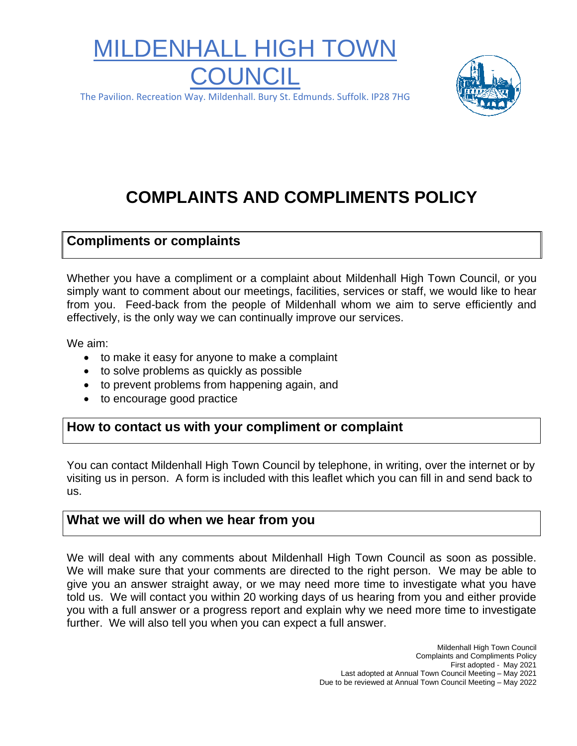# MILDENHALL HIGH TO **COUNCIL**



The Pavilion. Recreation Way. Mildenhall. Bury St. Edmunds. Suffolk. IP28 7HG

# **COMPLAINTS AND COMPLIMENTS POLICY**

#### **Compliments or complaints**

Whether you have a compliment or a complaint about Mildenhall High Town Council, or you simply want to comment about our meetings, facilities, services or staff, we would like to hear from you. Feed-back from the people of Mildenhall whom we aim to serve efficiently and effectively, is the only way we can continually improve our services.

We aim:

- to make it easy for anyone to make a complaint
- to solve problems as quickly as possible
- to prevent problems from happening again, and
- to encourage good practice

## **How to contact us with your compliment or complaint**

You can contact Mildenhall High Town Council by telephone, in writing, over the internet or by visiting us in person. A form is included with this leaflet which you can fill in and send back to us.

#### **What we will do when we hear from you**

We will deal with any comments about Mildenhall High Town Council as soon as possible. We will make sure that your comments are directed to the right person. We may be able to give you an answer straight away, or we may need more time to investigate what you have told us. We will contact you within 20 working days of us hearing from you and either provide you with a full answer or a progress report and explain why we need more time to investigate further. We will also tell you when you can expect a full answer.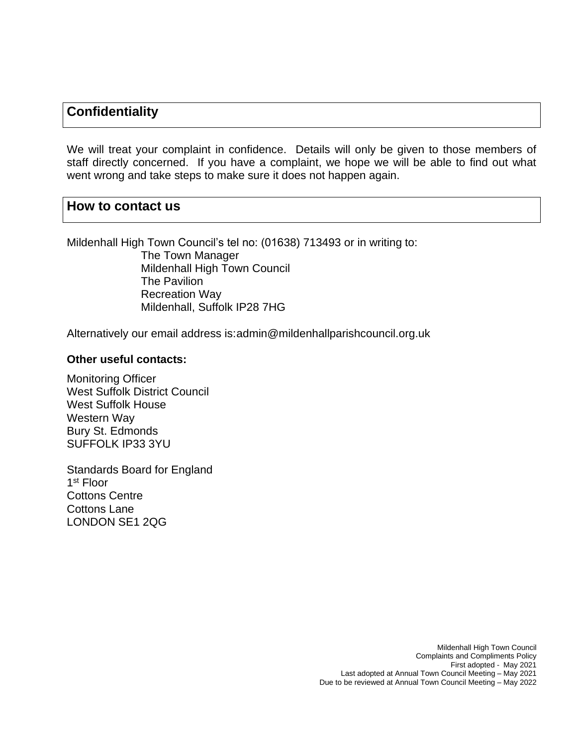# **Confidentiality**

We will treat your complaint in confidence. Details will only be given to those members of staff directly concerned. If you have a complaint, we hope we will be able to find out what went wrong and take steps to make sure it does not happen again.

#### **How to contact us**

Mildenhall High Town Council's tel no: (01638) 713493 or in writing to:

 The Town Manager Mildenhall High Town Council The Pavilion Recreation Way Mildenhall, Suffolk IP28 7HG

Alternatively our email address is:admin@mildenhallparishcouncil.org.uk

#### **Other useful contacts:**

Monitoring Officer West Suffolk District Council West Suffolk House Western Way Bury St. Edmonds SUFFOLK IP33 3YU

Standards Board for England 1 st Floor Cottons Centre Cottons Lane LONDON SE1 2QG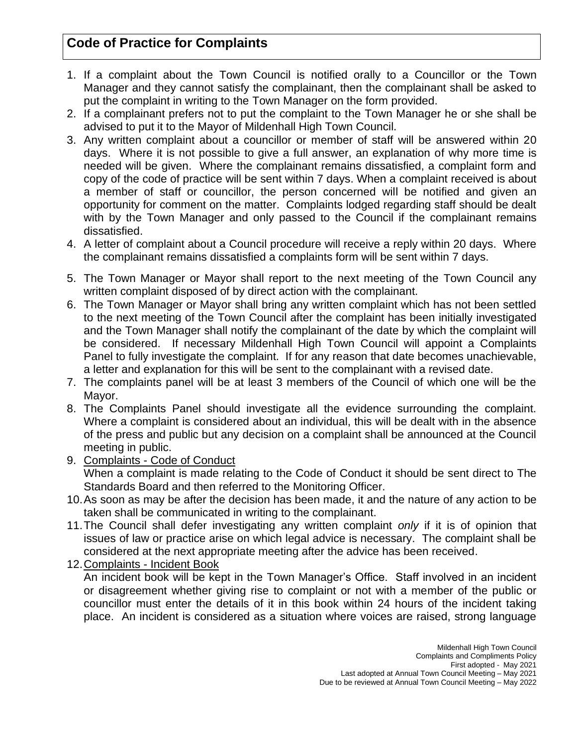# **Code of Practice for Complaints**

- 1. If a complaint about the Town Council is notified orally to a Councillor or the Town Manager and they cannot satisfy the complainant, then the complainant shall be asked to put the complaint in writing to the Town Manager on the form provided.
- 2. If a complainant prefers not to put the complaint to the Town Manager he or she shall be advised to put it to the Mayor of Mildenhall High Town Council.
- 3. Any written complaint about a councillor or member of staff will be answered within 20 days. Where it is not possible to give a full answer, an explanation of why more time is needed will be given. Where the complainant remains dissatisfied, a complaint form and copy of the code of practice will be sent within 7 days. When a complaint received is about a member of staff or councillor, the person concerned will be notified and given an opportunity for comment on the matter. Complaints lodged regarding staff should be dealt with by the Town Manager and only passed to the Council if the complainant remains dissatisfied.
- 4. A letter of complaint about a Council procedure will receive a reply within 20 days. Where the complainant remains dissatisfied a complaints form will be sent within 7 days.
- 5. The Town Manager or Mayor shall report to the next meeting of the Town Council any written complaint disposed of by direct action with the complainant.
- 6. The Town Manager or Mayor shall bring any written complaint which has not been settled to the next meeting of the Town Council after the complaint has been initially investigated and the Town Manager shall notify the complainant of the date by which the complaint will be considered. If necessary Mildenhall High Town Council will appoint a Complaints Panel to fully investigate the complaint. If for any reason that date becomes unachievable, a letter and explanation for this will be sent to the complainant with a revised date.
- 7. The complaints panel will be at least 3 members of the Council of which one will be the Mayor.
- 8. The Complaints Panel should investigate all the evidence surrounding the complaint. Where a complaint is considered about an individual, this will be dealt with in the absence of the press and public but any decision on a complaint shall be announced at the Council meeting in public.
- 9. Complaints Code of Conduct When a complaint is made relating to the Code of Conduct it should be sent direct to The Standards Board and then referred to the Monitoring Officer.
- 10.As soon as may be after the decision has been made, it and the nature of any action to be taken shall be communicated in writing to the complainant.
- 11.The Council shall defer investigating any written complaint *only* if it is of opinion that issues of law or practice arise on which legal advice is necessary. The complaint shall be considered at the next appropriate meeting after the advice has been received.
- 12.Complaints Incident Book

An incident book will be kept in the Town Manager's Office. Staff involved in an incident or disagreement whether giving rise to complaint or not with a member of the public or councillor must enter the details of it in this book within 24 hours of the incident taking place. An incident is considered as a situation where voices are raised, strong language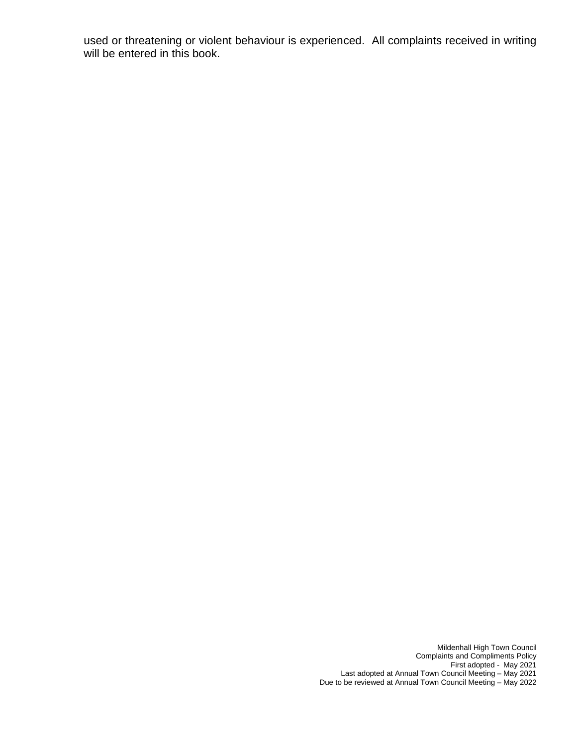used or threatening or violent behaviour is experienced. All complaints received in writing will be entered in this book.

> Mildenhall High Town Council Complaints and Compliments Policy First adopted - May 2021 Last adopted at Annual Town Council Meeting – May 2021 Due to be reviewed at Annual Town Council Meeting – May 2022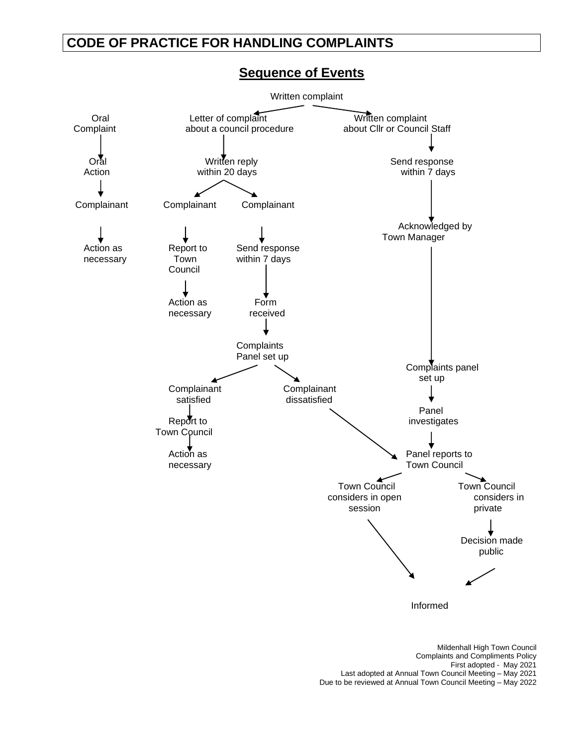# **CODE OF PRACTICE FOR HANDLING COMPLAINTS**



#### **Sequence of Events**

Mildenhall High Town Council Complaints and Compliments Policy First adopted - May 2021 Last adopted at Annual Town Council Meeting – May 2021 Due to be reviewed at Annual Town Council Meeting – May 2022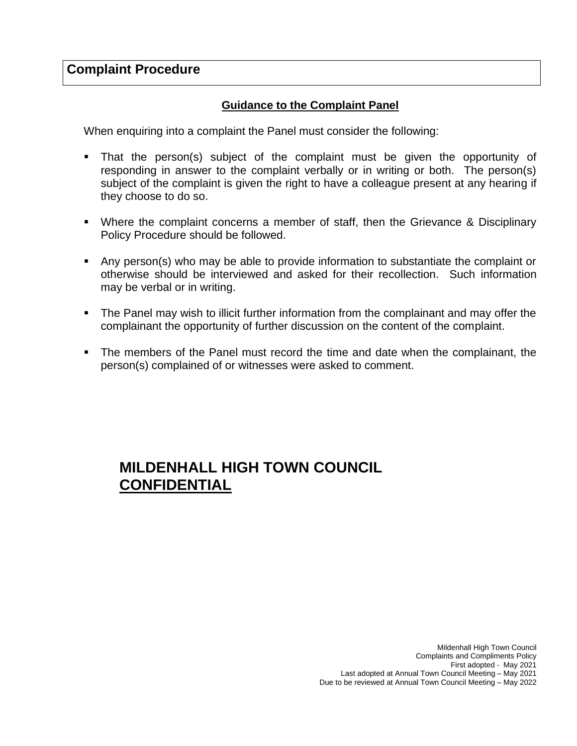## **Complaint Procedure**

#### **Guidance to the Complaint Panel**

When enquiring into a complaint the Panel must consider the following:

- That the person(s) subject of the complaint must be given the opportunity of responding in answer to the complaint verbally or in writing or both. The person(s) subject of the complaint is given the right to have a colleague present at any hearing if they choose to do so.
- Where the complaint concerns a member of staff, then the Grievance & Disciplinary Policy Procedure should be followed.
- Any person(s) who may be able to provide information to substantiate the complaint or otherwise should be interviewed and asked for their recollection. Such information may be verbal or in writing.
- The Panel may wish to illicit further information from the complainant and may offer the complainant the opportunity of further discussion on the content of the complaint.
- The members of the Panel must record the time and date when the complainant, the person(s) complained of or witnesses were asked to comment.

# **MILDENHALL HIGH TOWN COUNCIL CONFIDENTIAL**